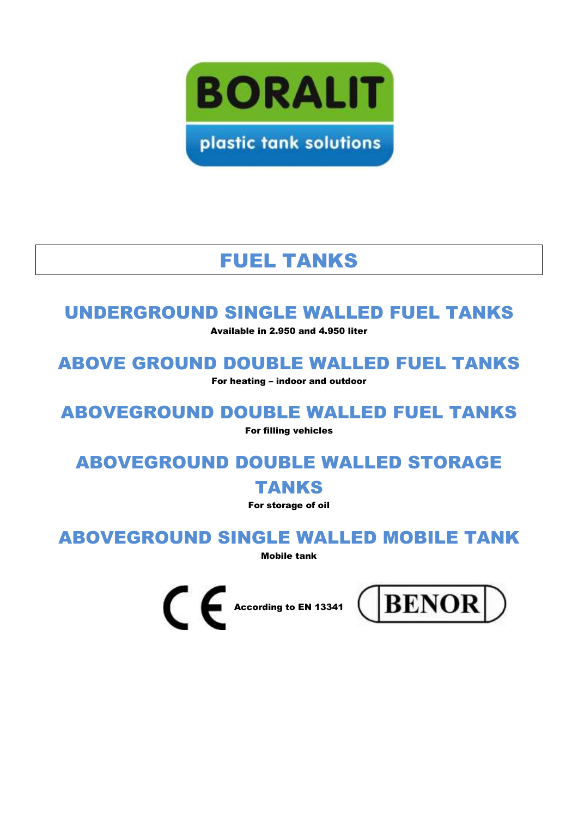

plastic tank solutions

# FUEL TANKS

### UNDERGROUND SINGLE WALLED FUEL TANKS

Available in 2.950 and 4.950 liter

ABOVE GROUND DOUBLE WALLED FUEL TANKS

For heating – indoor and outdoor

ABOVEGROUND DOUBLE WALLED FUEL TANKS

For filling vehicles

ABOVEGROUND DOUBLE WALLED STORAGE TANKS

For storage of oil

ABOVEGROUND SINGLE WALLED MOBILE TANK

Mobile tank

CE According to EN 13341

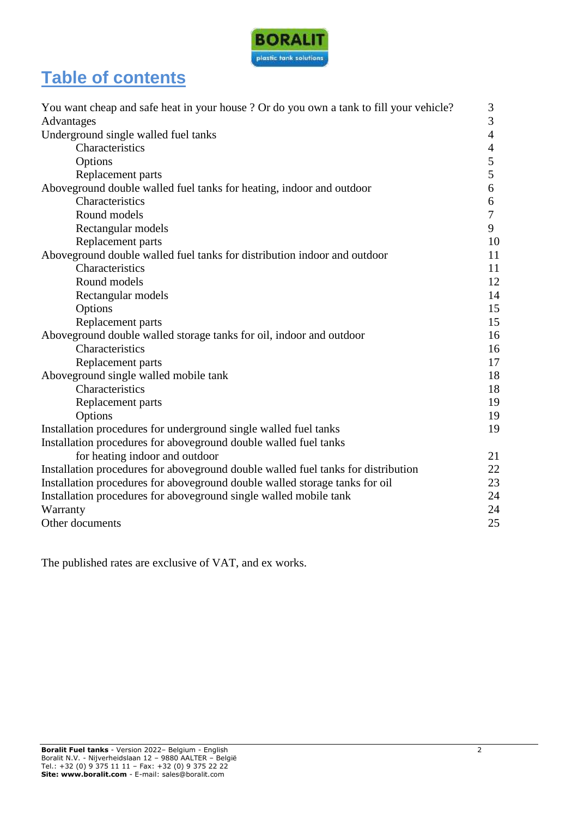

### **Table of contents**

| You want cheap and safe heat in your house? Or do you own a tank to fill your vehicle? | 3              |
|----------------------------------------------------------------------------------------|----------------|
| Advantages                                                                             | 3              |
| Underground single walled fuel tanks                                                   | $\overline{4}$ |
| Characteristics                                                                        | $\overline{4}$ |
| Options                                                                                | 5              |
| Replacement parts                                                                      | 5              |
| Aboveground double walled fuel tanks for heating, indoor and outdoor                   | 6              |
| Characteristics                                                                        | 6              |
| Round models                                                                           | $\overline{7}$ |
| Rectangular models                                                                     | 9              |
| Replacement parts                                                                      | 10             |
| Aboveground double walled fuel tanks for distribution indoor and outdoor               | 11             |
| Characteristics                                                                        | 11             |
| Round models                                                                           | 12             |
| Rectangular models                                                                     | 14             |
| Options                                                                                | 15             |
| Replacement parts                                                                      | 15             |
| Aboveground double walled storage tanks for oil, indoor and outdoor                    | 16             |
| Characteristics                                                                        | 16             |
| Replacement parts                                                                      | 17             |
| Aboveground single walled mobile tank                                                  | 18             |
| Characteristics                                                                        | 18             |
| Replacement parts                                                                      | 19             |
| Options                                                                                | 19             |
| Installation procedures for underground single walled fuel tanks                       | 19             |
| Installation procedures for aboveground double walled fuel tanks                       |                |
| for heating indoor and outdoor                                                         | 21             |
| Installation procedures for above ground double walled fuel tanks for distribution     | 22             |
| Installation procedures for aboveground double walled storage tanks for oil            | 23             |
| Installation procedures for aboveground single walled mobile tank                      | 24             |
| Warranty                                                                               | 24             |
| Other documents                                                                        | 25             |
|                                                                                        |                |

The published rates are exclusive of VAT, and ex works.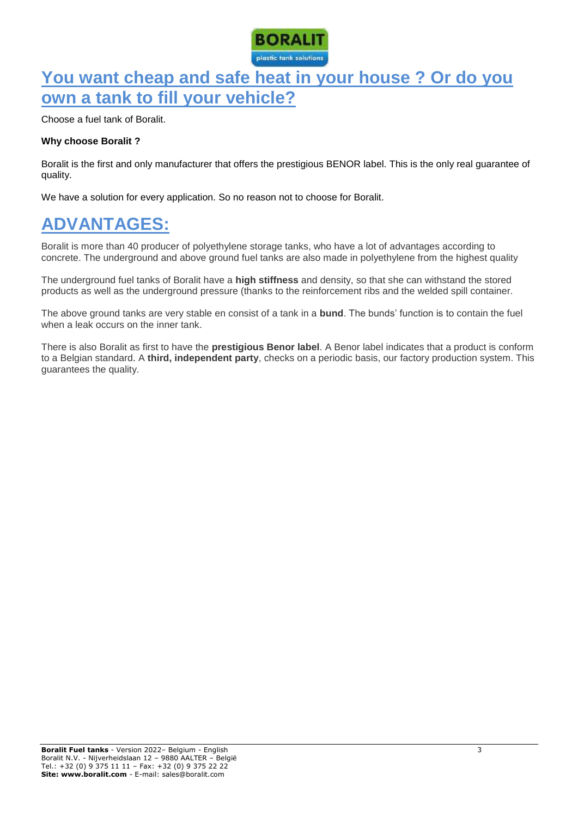

### **You want cheap and safe heat in your house ? Or do you own a tank to fill your vehicle?**

Choose a fuel tank of Boralit.

#### **Why choose Boralit ?**

Boralit is the first and only manufacturer that offers the prestigious BENOR label. This is the only real guarantee of quality.

We have a solution for every application. So no reason not to choose for Boralit.

### **ADVANTAGES:**

Boralit is more than 40 producer of polyethylene storage tanks, who have a lot of advantages according to concrete. The underground and above ground fuel tanks are also made in polyethylene from the highest quality

The underground fuel tanks of Boralit have a **high stiffness** and density, so that she can withstand the stored products as well as the underground pressure (thanks to the reinforcement ribs and the welded spill container.

The above ground tanks are very stable en consist of a tank in a **bund**. The bunds' function is to contain the fuel when a leak occurs on the inner tank.

There is also Boralit as first to have the **prestigious Benor label**. A Benor label indicates that a product is conform to a Belgian standard. A **third, independent party**, checks on a periodic basis, our factory production system. This guarantees the quality.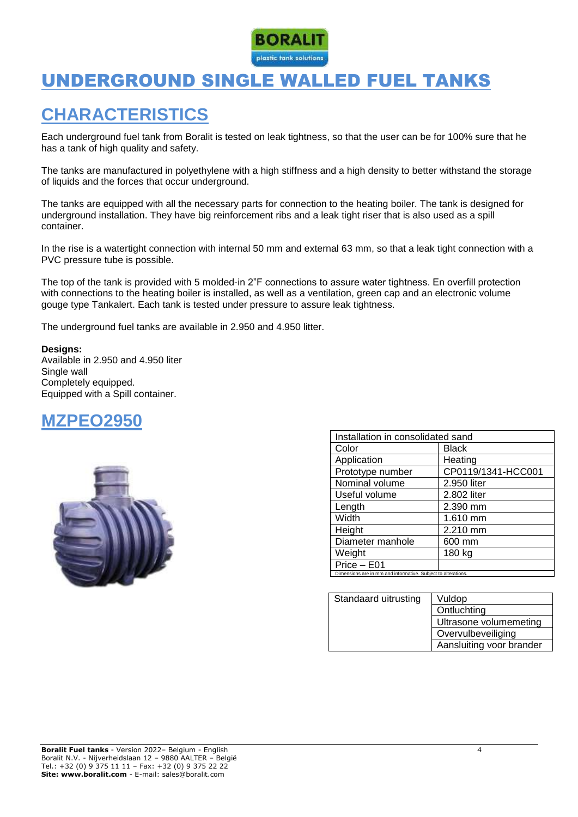

### UNDERGROUND SINGLE WALLED FUEL TANKS

### **CHARACTERISTICS**

Each underground fuel tank from Boralit is tested on leak tightness, so that the user can be for 100% sure that he has a tank of high quality and safety.

The tanks are manufactured in polyethylene with a high stiffness and a high density to better withstand the storage of liquids and the forces that occur underground.

The tanks are equipped with all the necessary parts for connection to the heating boiler. The tank is designed for underground installation. They have big reinforcement ribs and a leak tight riser that is also used as a spill container.

In the rise is a watertight connection with internal 50 mm and external 63 mm, so that a leak tight connection with a PVC pressure tube is possible.

The top of the tank is provided with 5 molded-in 2"F connections to assure water tightness. En overfill protection with connections to the heating boiler is installed, as well as a ventilation, green cap and an electronic volume gouge type Tankalert. Each tank is tested under pressure to assure leak tightness.

The underground fuel tanks are available in 2.950 and 4.950 litter.

#### **Designs:**

Available in 2.950 and 4.950 liter Single wall Completely equipped. Equipped with a Spill container.





| Installation in consolidated sand                             |                    |
|---------------------------------------------------------------|--------------------|
| Color                                                         | <b>Black</b>       |
| Application                                                   | Heating            |
| Prototype number                                              | CP0119/1341-HCC001 |
| Nominal volume                                                | 2.950 liter        |
| Useful volume                                                 | 2.802 liter        |
| Length                                                        | 2.390 mm           |
| Width                                                         | 1.610 mm           |
| Height                                                        | 2.210 mm           |
| Diameter manhole                                              | 600 mm             |
| Weight                                                        | 180 kg             |
| Price - E01                                                   |                    |
| Dimensions are in mm and informative. Subject to alterations. |                    |

| Standaard uitrusting | Vuldop                   |
|----------------------|--------------------------|
|                      | Ontluchting              |
|                      | Ultrasone volumemeting   |
|                      | Overvulbeveiliging       |
|                      | Aansluiting voor brander |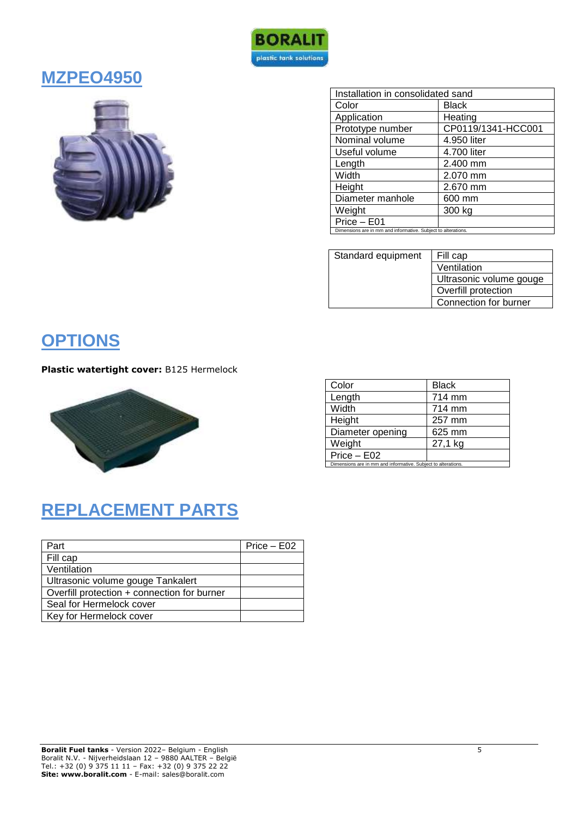

### **MZPEO4950**



| Installation in consolidated sand                             |                    |
|---------------------------------------------------------------|--------------------|
| Color                                                         | <b>Black</b>       |
| Application                                                   | Heating            |
| Prototype number                                              | CP0119/1341-HCC001 |
| Nominal volume                                                | 4.950 liter        |
| Useful volume                                                 | 4.700 liter        |
| Length                                                        | 2.400 mm           |
| Width                                                         | 2.070 mm           |
| Height                                                        | 2.670 mm           |
| Diameter manhole                                              | 600 mm             |
| Weight                                                        | 300 kg             |
| Price - E01                                                   |                    |
| Dimensions are in mm and informative. Subject to alterations. |                    |

| Standard equipment | Fill cap                |
|--------------------|-------------------------|
|                    | Ventilation             |
|                    | Ultrasonic volume gouge |
|                    | Overfill protection     |
|                    | Connection for burner   |

### **OPTIONS**

**Plastic watertight cover:** B125 Hermelock



| Color                                                         | <b>Black</b> |
|---------------------------------------------------------------|--------------|
| Length                                                        | 714 mm       |
| Width                                                         | 714 mm       |
| Height                                                        | 257 mm       |
| Diameter opening                                              | 625 mm       |
| Weight                                                        | 27,1 kg      |
| Price - E02                                                   |              |
| Dimensions are in mm and informative. Subiect to alterations. |              |

# **REPLACEMENT PARTS**

| Part                                        | Price – E02 |
|---------------------------------------------|-------------|
| Fill cap                                    |             |
| Ventilation                                 |             |
| Ultrasonic volume gouge Tankalert           |             |
| Overfill protection + connection for burner |             |
| Seal for Hermelock cover                    |             |
| Key for Hermelock cover                     |             |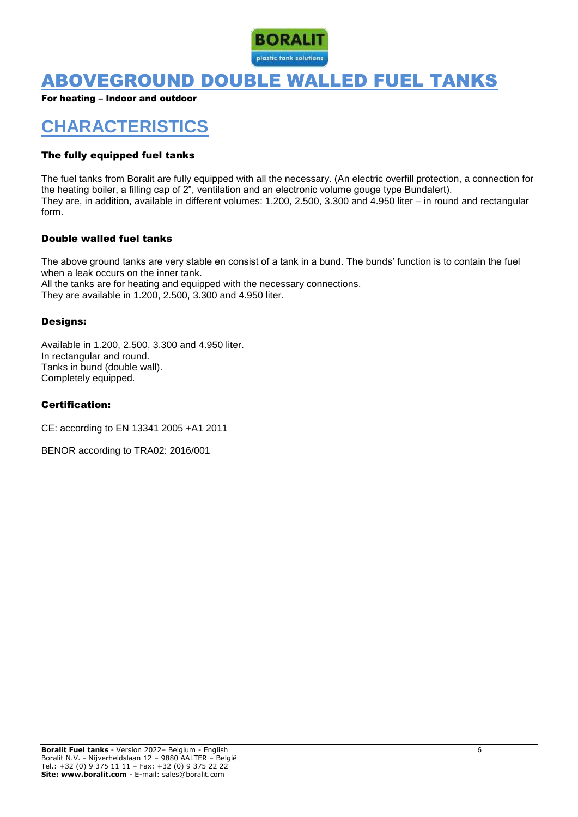

### ABOVEGROUND DOUBLE WALLED FUEL TANKS

For heating – Indoor and outdoor

## **CHARACTERISTICS**

#### The fully equipped fuel tanks

The fuel tanks from Boralit are fully equipped with all the necessary. (An electric overfill protection, a connection for the heating boiler, a filling cap of 2", ventilation and an electronic volume gouge type Bundalert). They are, in addition, available in different volumes: 1.200, 2.500, 3.300 and 4.950 liter – in round and rectangular form.

#### Double walled fuel tanks

The above ground tanks are very stable en consist of a tank in a bund. The bunds' function is to contain the fuel when a leak occurs on the inner tank.

All the tanks are for heating and equipped with the necessary connections. They are available in 1.200, 2.500, 3.300 and 4.950 liter.

#### Designs:

Available in 1.200, 2.500, 3.300 and 4.950 liter. In rectangular and round. Tanks in bund (double wall). Completely equipped.

#### Certification:

CE: according to EN 13341 2005 +A1 2011

BENOR according to TRA02: 2016/001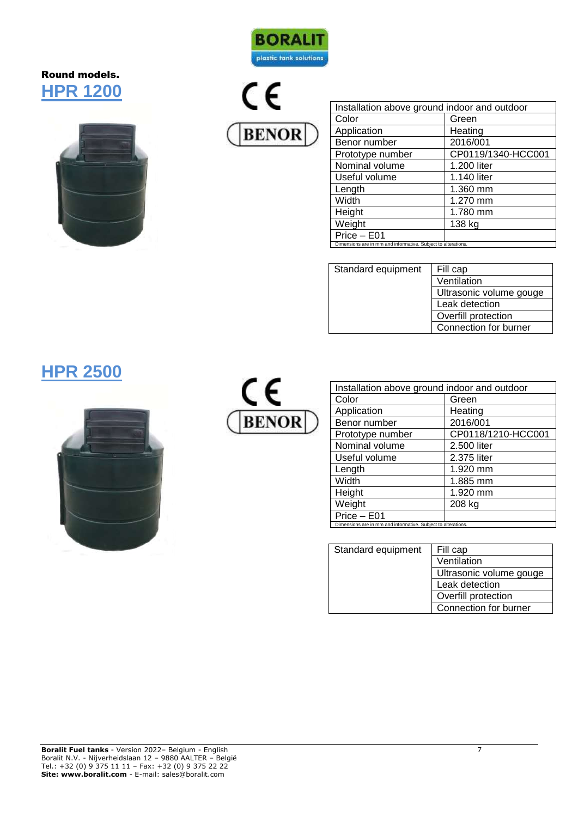### **BORALIT** plastic tank solutions

#### Round models. **HPR 1200**





| Installation above ground indoor and outdoor                  |                    |  |
|---------------------------------------------------------------|--------------------|--|
| Color                                                         | Green              |  |
| Application                                                   | Heating            |  |
| Benor number                                                  | 2016/001           |  |
| Prototype number                                              | CP0119/1340-HCC001 |  |
| Nominal volume                                                | 1.200 liter        |  |
| Useful volume                                                 | 1.140 liter        |  |
| Length                                                        | 1.360 mm           |  |
| Width                                                         | 1.270 mm           |  |
| Height                                                        | 1.780 mm           |  |
| Weight                                                        | 138 kg             |  |
| Price - E01                                                   |                    |  |
| Dimensions are in mm and informative. Subject to alterations. |                    |  |

| Standard equipment | Fill cap                |
|--------------------|-------------------------|
|                    | Ventilation             |
|                    | Ultrasonic volume gouge |
|                    | Leak detection          |
|                    | Overfill protection     |
|                    | Connection for burner   |

### **HPR 2500**





| Installation above ground indoor and outdoor                  |                    |
|---------------------------------------------------------------|--------------------|
| Color                                                         | Green              |
| Application                                                   | Heating            |
| Benor number                                                  | 2016/001           |
| Prototype number                                              | CP0118/1210-HCC001 |
| Nominal volume                                                | 2.500 liter        |
| Useful volume                                                 | 2.375 liter        |
| Length                                                        | 1.920 mm           |
| Width                                                         | 1.885 mm           |
| Height                                                        | 1.920 mm           |
| Weight                                                        | 208 kg             |
| Price - E01                                                   |                    |
| Dimensions are in mm and informative. Subject to alterations. |                    |

| Standard equipment | Fill cap                |
|--------------------|-------------------------|
|                    | Ventilation             |
|                    | Ultrasonic volume gouge |
|                    | Leak detection          |
|                    | Overfill protection     |
|                    | Connection for burner   |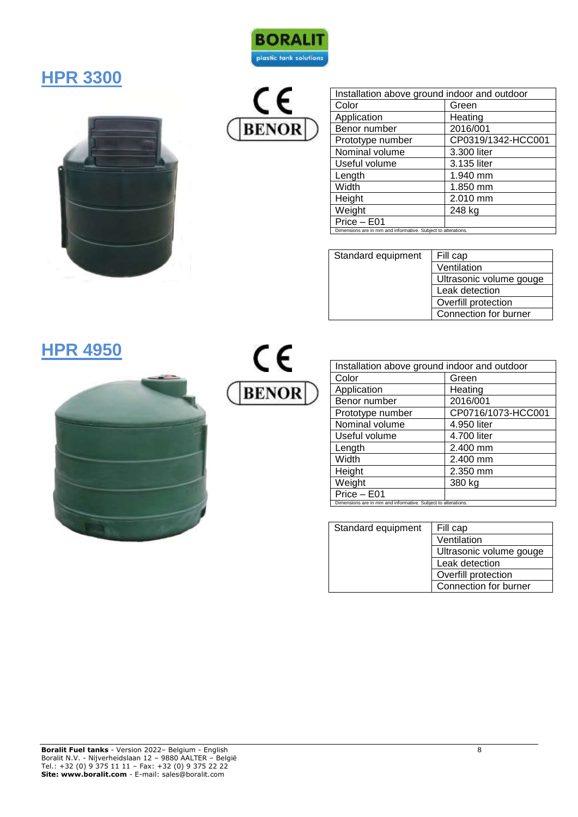### **HPR 3300**





**BORALIT** 

| Installation above ground indoor and outdoor                  |                    |  |
|---------------------------------------------------------------|--------------------|--|
| Color                                                         | Green              |  |
| Application                                                   | Heating            |  |
| Benor number                                                  | 2016/001           |  |
| Prototype number                                              | CP0319/1342-HCC001 |  |
| Nominal volume                                                | 3.300 liter        |  |
| Useful volume                                                 | 3.135 liter        |  |
| Length                                                        | 1.940 mm           |  |
| Width                                                         | 1.850 mm           |  |
| Height                                                        | 2.010 mm           |  |
| Weight                                                        | 248 kg             |  |
| Price - E01                                                   |                    |  |
| Dimensions are in mm and informative. Subject to alterations. |                    |  |

| Standard equipment | Fill cap                |
|--------------------|-------------------------|
|                    | Ventilation             |
|                    | Ultrasonic volume gouge |
|                    | Leak detection          |
|                    | Overfill protection     |
|                    | Connection for burner   |

### **HPR 4950**



# $C \in$ **BENOR**

| Installation above ground indoor and outdoor                  |                    |  |
|---------------------------------------------------------------|--------------------|--|
| Color                                                         | Green              |  |
| Application                                                   | Heating            |  |
| Benor number                                                  | 2016/001           |  |
| Prototype number                                              | CP0716/1073-HCC001 |  |
| Nominal volume                                                | 4.950 liter        |  |
| Useful volume                                                 | 4.700 liter        |  |
| Length                                                        | 2.400 mm           |  |
| Width                                                         | 2.400 mm           |  |
| Height                                                        | 2.350 mm           |  |
| Weight                                                        | 380 kg             |  |
| Price - E01                                                   |                    |  |
| Dimensions are in mm and informative. Subject to alterations. |                    |  |

| Standard equipment | Fill cap                |
|--------------------|-------------------------|
|                    | Ventilation             |
|                    | Ultrasonic volume gouge |
|                    | Leak detection          |
|                    | Overfill protection     |
|                    | Connection for burner   |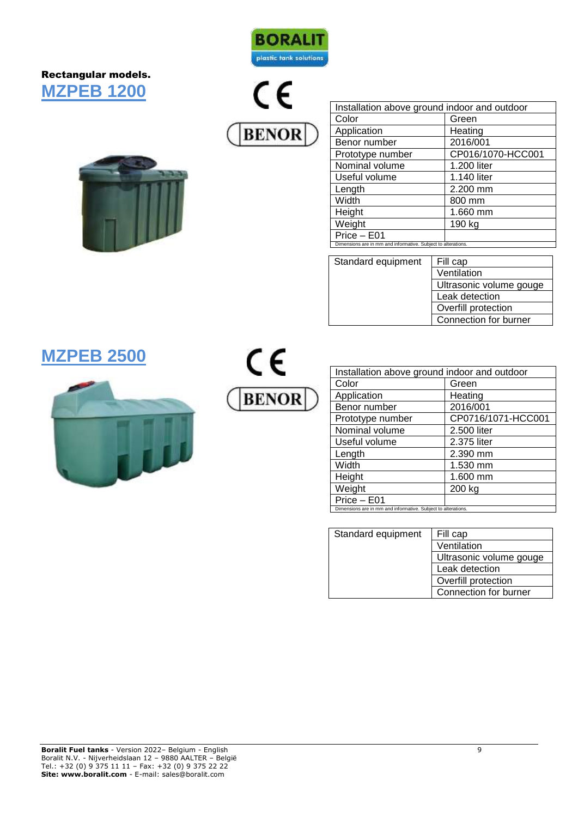#### Rectangular models. **MZPEB 1200**





Installation above ground indoor and outdoor Color Green<br>Application Heating Application Benor number 2016/001<br>Prototype number CP016/10 CP016/1070-HCC001<br>1.200 liter Nominal volume 1.200 liter<br>Useful volume 1.140 liter Useful volume<br>Length Length 2.200 mm<br>Width 800 mm Width 800 mm<br>
Height 1.660 mi  $1.660$  mm Weight 190 kg Price – E01 Dimensions are in mm and informations.

| Standard equipment | Fill cap                |
|--------------------|-------------------------|
|                    | Ventilation             |
|                    | Ultrasonic volume gouge |
|                    | Leak detection          |
|                    | Overfill protection     |
|                    | Connection for burner   |
|                    |                         |

### **MZPEB 2500**



# $\epsilon$ **BENOR**

| Installation above ground indoor and outdoor                  |                    |  |
|---------------------------------------------------------------|--------------------|--|
| Color                                                         | Green              |  |
| Application                                                   | Heating            |  |
| Benor number                                                  | 2016/001           |  |
| Prototype number                                              | CP0716/1071-HCC001 |  |
| Nominal volume                                                | 2.500 liter        |  |
| Useful volume                                                 | 2.375 liter        |  |
| Length                                                        | 2.390 mm           |  |
| Width                                                         | 1.530 mm           |  |
| Height                                                        | 1.600 mm           |  |
| Weight                                                        | 200 kg             |  |
| Price - E01                                                   |                    |  |
| Dimensions are in mm and informative. Subject to alterations. |                    |  |

| Standard equipment | Fill cap                |
|--------------------|-------------------------|
|                    | Ventilation             |
|                    | Ultrasonic volume gouge |
|                    | Leak detection          |
|                    | Overfill protection     |
|                    | Connection for burner   |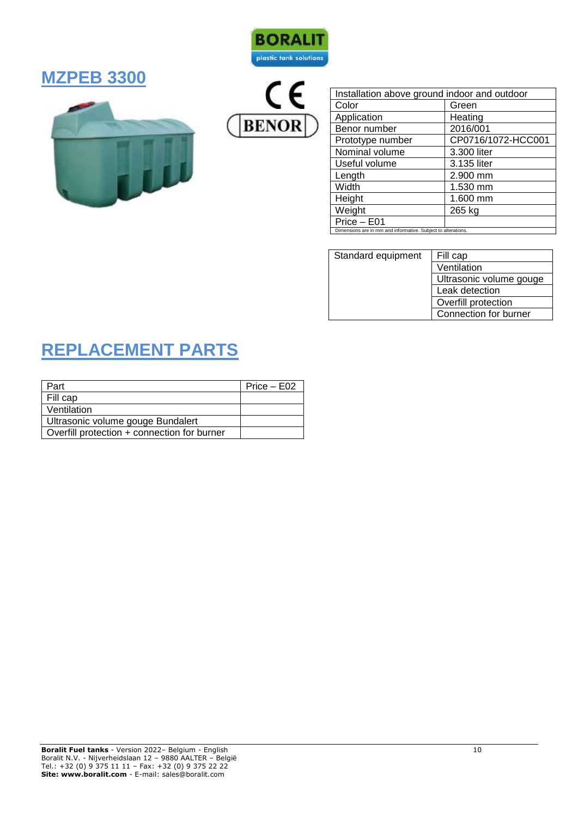

### **MZPEB 3300**



| ٠p.<br>к<br>÷. |
|----------------|

| Installation above ground indoor and outdoor                  |                    |  |
|---------------------------------------------------------------|--------------------|--|
| Color                                                         | Green              |  |
| Application                                                   | Heating            |  |
| Benor number                                                  | 2016/001           |  |
| Prototype number                                              | CP0716/1072-HCC001 |  |
| Nominal volume                                                | 3.300 liter        |  |
| Useful volume                                                 | 3.135 liter        |  |
| Length                                                        | 2.900 mm           |  |
| Width                                                         | 1.530 mm           |  |
| Height                                                        | 1.600 mm           |  |
| Weight                                                        | 265 kg             |  |
| Price - E01                                                   |                    |  |
| Dimensions are in mm and informative. Subject to alterations. |                    |  |

| Standard equipment | Fill cap                |
|--------------------|-------------------------|
|                    | Ventilation             |
|                    | Ultrasonic volume gouge |
|                    | Leak detection          |
|                    | Overfill protection     |
|                    | Connection for burner   |

# **REPLACEMENT PARTS**

| Part                                        | Price – E02 |
|---------------------------------------------|-------------|
| Fill cap                                    |             |
| Ventilation                                 |             |
| Ultrasonic volume gouge Bundalert           |             |
| Overfill protection + connection for burner |             |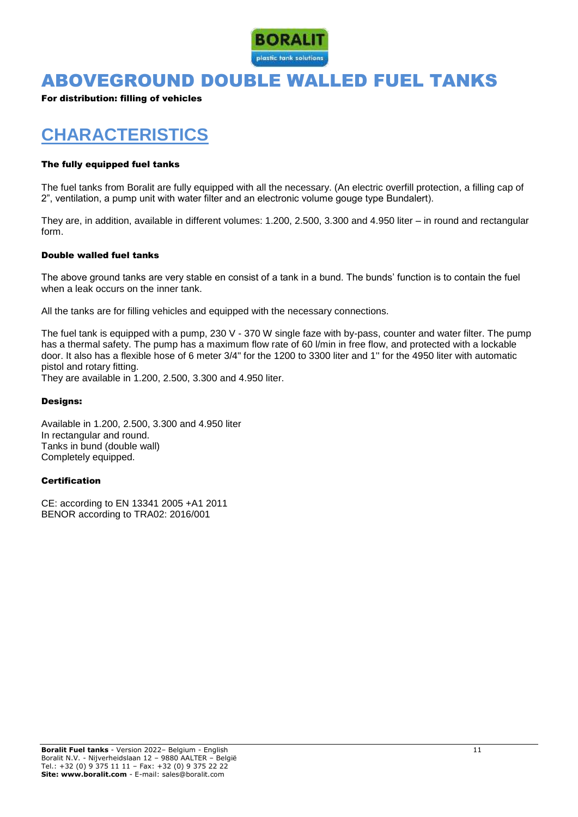

### ABOVEGROUND DOUBLE WALLED FUEL TANKS

#### For distribution: filling of vehicles

# **CHARACTERISTICS**

#### The fully equipped fuel tanks

The fuel tanks from Boralit are fully equipped with all the necessary. (An electric overfill protection, a filling cap of 2", ventilation, a pump unit with water filter and an electronic volume gouge type Bundalert).

They are, in addition, available in different volumes: 1.200, 2.500, 3.300 and 4.950 liter – in round and rectangular form.

#### Double walled fuel tanks

The above ground tanks are very stable en consist of a tank in a bund. The bunds' function is to contain the fuel when a leak occurs on the inner tank.

All the tanks are for filling vehicles and equipped with the necessary connections.

The fuel tank is equipped with a pump, 230 V - 370 W single faze with by-pass, counter and water filter. The pump has a thermal safety. The pump has a maximum flow rate of 60 l/min in free flow, and protected with a lockable door. It also has a flexible hose of 6 meter 3/4" for the 1200 to 3300 liter and 1'' for the 4950 liter with automatic pistol and rotary fitting.

They are available in 1.200, 2.500, 3.300 and 4.950 liter.

#### Designs:

Available in 1.200, 2.500, 3.300 and 4.950 liter In rectangular and round. Tanks in bund (double wall) Completely equipped.

#### **Certification**

CE: according to EN 13341 2005 +A1 2011 BENOR according to TRA02: 2016/001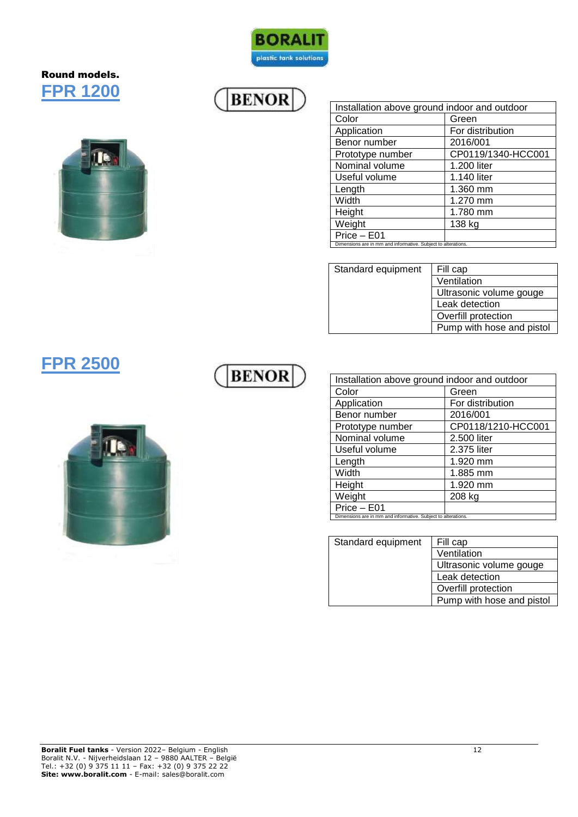

#### Round models. **FPR 1200**



| L. |  |
|----|--|
|    |  |

| Installation above ground indoor and outdoor                  |                    |  |
|---------------------------------------------------------------|--------------------|--|
| Color                                                         | Green              |  |
| Application                                                   | For distribution   |  |
| Benor number                                                  | 2016/001           |  |
| Prototype number                                              | CP0119/1340-HCC001 |  |
| Nominal volume                                                | 1.200 liter        |  |
| Useful volume                                                 | 1.140 liter        |  |
| Length                                                        | 1.360 mm           |  |
| Width                                                         | 1.270 mm           |  |
| Height                                                        | 1.780 mm           |  |
| Weight                                                        | 138 kg             |  |
| Price - E01                                                   |                    |  |
| Dimensions are in mm and informative. Subject to alterations. |                    |  |

| Standard equipment | Fill cap                  |
|--------------------|---------------------------|
|                    | Ventilation               |
|                    | Ultrasonic volume gouge   |
|                    | Leak detection            |
|                    | Overfill protection       |
|                    | Pump with hose and pistol |

### **FPR 2500**



# **BENOR**

| Installation above ground indoor and outdoor                  |                    |
|---------------------------------------------------------------|--------------------|
| Color                                                         | Green              |
| Application                                                   | For distribution   |
| Benor number                                                  | 2016/001           |
| Prototype number                                              | CP0118/1210-HCC001 |
| Nominal volume                                                | 2.500 liter        |
| Useful volume                                                 | 2.375 liter        |
| Length                                                        | 1.920 mm           |
| Width                                                         | 1.885 mm           |
| Height                                                        | 1.920 mm           |
| Weight                                                        | 208 kg             |
| Price - E01                                                   |                    |
| Dimensions are in mm and informative. Subject to alterations. |                    |

| Standard equipment | Fill cap                  |
|--------------------|---------------------------|
|                    | Ventilation               |
|                    | Ultrasonic volume gouge   |
|                    | Leak detection            |
|                    | Overfill protection       |
|                    | Pump with hose and pistol |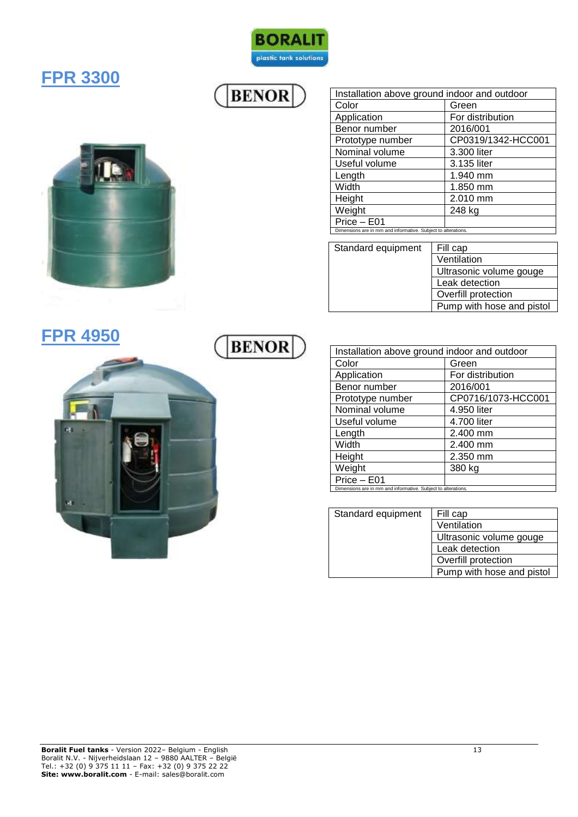

### **FPR 3300**





| Installation above ground indoor and outdoor                  |                    |
|---------------------------------------------------------------|--------------------|
| Color                                                         | Green              |
| Application                                                   | For distribution   |
| Benor number                                                  | 2016/001           |
| Prototype number                                              | CP0319/1342-HCC001 |
| Nominal volume                                                | 3.300 liter        |
| Useful volume                                                 | 3.135 liter        |
| Length                                                        | 1.940 mm           |
| Width                                                         | 1.850 mm           |
| Height                                                        | 2.010 mm           |
| Weight                                                        | 248 kg             |
| Price - E01                                                   |                    |
| Dimensions are in mm and informative. Subject to alterations. |                    |

| Standard equipment | Fill cap                  |
|--------------------|---------------------------|
|                    | Ventilation               |
|                    | Ultrasonic volume gouge   |
|                    | Leak detection            |
|                    | Overfill protection       |
|                    | Pump with hose and pistol |

| Installation above ground indoor and outdoor                  |                    |  |
|---------------------------------------------------------------|--------------------|--|
| Color                                                         | Green              |  |
| Application                                                   | For distribution   |  |
| Benor number                                                  | 2016/001           |  |
| Prototype number                                              | CP0716/1073-HCC001 |  |
| Nominal volume                                                | 4.950 liter        |  |
| Useful volume                                                 | 4.700 liter        |  |
| Length                                                        | 2.400 mm           |  |
| Width                                                         | 2.400 mm           |  |
| Height                                                        | 2.350 mm           |  |
| Weight                                                        | 380 kg             |  |
| Price - E01                                                   |                    |  |
| Dimensions are in mm and informative. Subject to alterations. |                    |  |

| Standard equipment | Fill cap                  |
|--------------------|---------------------------|
|                    | Ventilation               |
|                    | Ultrasonic volume gouge   |
|                    | Leak detection            |
|                    | Overfill protection       |
|                    | Pump with hose and pistol |

# **FPR 4950**

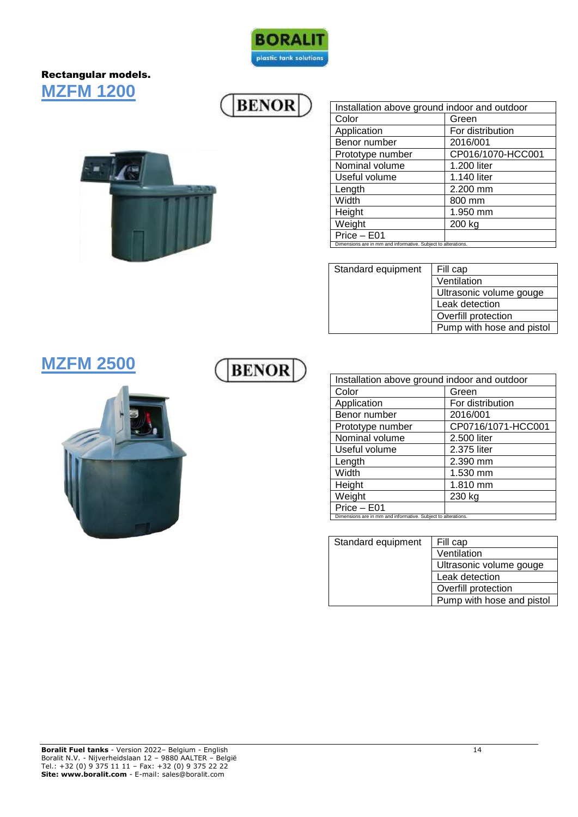

#### Rectangular models. **MZFM 1200**

# **BENOR**



| Installation above ground indoor and outdoor                  |                   |
|---------------------------------------------------------------|-------------------|
| Color                                                         | Green             |
| Application                                                   | For distribution  |
| Benor number                                                  | 2016/001          |
| Prototype number                                              | CP016/1070-HCC001 |
| Nominal volume                                                | 1.200 liter       |
| Useful volume                                                 | 1.140 liter       |
| Length                                                        | 2.200 mm          |
| Width                                                         | 800 mm            |
| Height                                                        | 1.950 mm          |
| Weight                                                        | 200 kg            |
| Price - E01                                                   |                   |
| Dimensions are in mm and informative. Subject to alterations. |                   |

| Standard equipment | Fill cap                  |
|--------------------|---------------------------|
|                    | Ventilation               |
|                    | Ultrasonic volume gouge   |
|                    | Leak detection            |
|                    | Overfill protection       |
|                    | Pump with hose and pistol |

### **MZFM 2500**



# **BENOR**

| Installation above ground indoor and outdoor                  |                    |
|---------------------------------------------------------------|--------------------|
| Color                                                         | Green              |
| Application                                                   | For distribution   |
| Benor number                                                  | 2016/001           |
| Prototype number                                              | CP0716/1071-HCC001 |
| Nominal volume                                                | 2.500 liter        |
| Useful volume                                                 | 2.375 liter        |
| Length                                                        | 2.390 mm           |
| Width                                                         | 1.530 mm           |
| Height                                                        | 1.810 mm           |
| Weight                                                        | 230 kg             |
| Price - E01                                                   |                    |
| Dimensions are in mm and informative. Subject to alterations. |                    |

| Standard equipment | Fill cap                  |
|--------------------|---------------------------|
|                    | Ventilation               |
|                    | Ultrasonic volume gouge   |
|                    | Leak detection            |
|                    | Overfill protection       |
|                    | Pump with hose and pistol |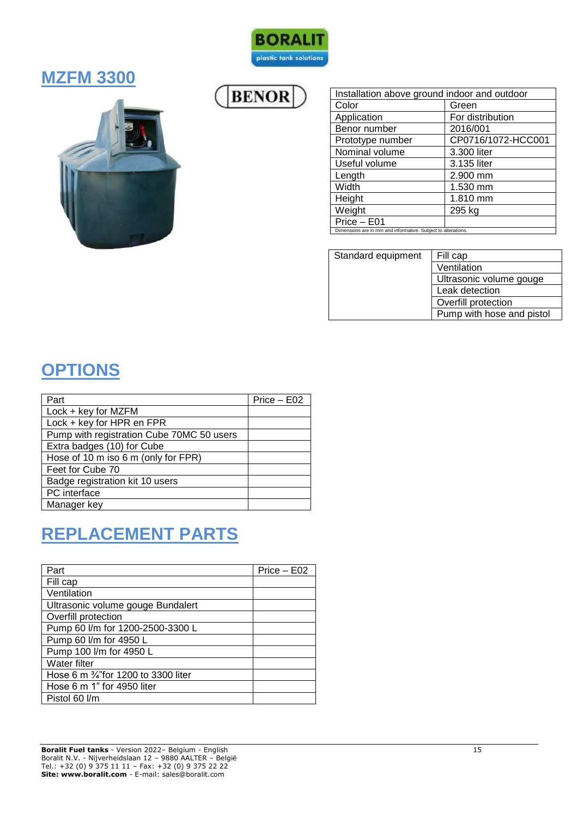

**BENOR** 

### **MZFM 3300**



| Installation above ground indoor and outdoor                  |                    |
|---------------------------------------------------------------|--------------------|
| Color                                                         | Green              |
| Application                                                   | For distribution   |
| Benor number                                                  | 2016/001           |
| Prototype number                                              | CP0716/1072-HCC001 |
| Nominal volume                                                | 3.300 liter        |
| Useful volume                                                 | 3.135 liter        |
| Length                                                        | 2.900 mm           |
| Width                                                         | 1.530 mm           |
| Height                                                        | 1.810 mm           |
| Weight                                                        | 295 kg             |
| Price - E01                                                   |                    |
| Dimensions are in mm and informative. Subject to alterations. |                    |

| Standard equipment | Fill cap                  |
|--------------------|---------------------------|
|                    | Ventilation               |
|                    | Ultrasonic volume gouge   |
|                    | Leak detection            |
|                    | Overfill protection       |
|                    | Pump with hose and pistol |

# **OPTIONS**

| Part                                      | Price - E02 |
|-------------------------------------------|-------------|
| Lock + key for MZFM                       |             |
| Lock + key for HPR en FPR                 |             |
| Pump with registration Cube 70MC 50 users |             |
| Extra badges (10) for Cube                |             |
| Hose of 10 m iso 6 m (only for FPR)       |             |
| Feet for Cube 70                          |             |
| Badge registration kit 10 users           |             |
| PC interface                              |             |
| Manager key                               |             |

### **REPLACEMENT PARTS**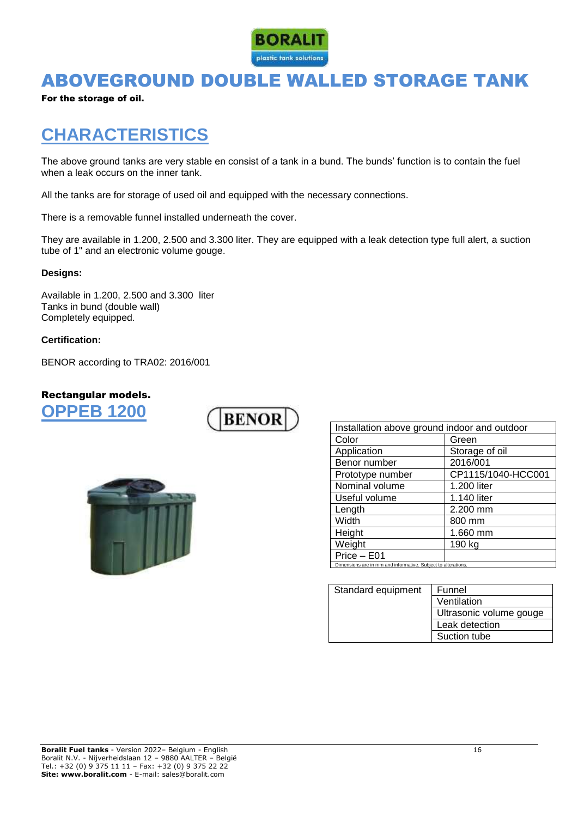

### ABOVEGROUND DOUBLE WALLED STORAGE TANK

For the storage of oil.

# **CHARACTERISTICS**

The above ground tanks are very stable en consist of a tank in a bund. The bunds' function is to contain the fuel when a leak occurs on the inner tank.

All the tanks are for storage of used oil and equipped with the necessary connections.

There is a removable funnel installed underneath the cover.

They are available in 1.200, 2.500 and 3.300 liter. They are equipped with a leak detection type full alert, a suction tube of 1" and an electronic volume gouge.

#### **Designs:**

Available in 1.200, 2.500 and 3.300 liter Tanks in bund (double wall) Completely equipped.

#### **Certification:**

BENOR according to TRA02: 2016/001

#### Rectangular models.







| Installation above ground indoor and outdoor                  |                    |
|---------------------------------------------------------------|--------------------|
| Color                                                         | Green              |
| Application                                                   | Storage of oil     |
| Benor number                                                  | 2016/001           |
| Prototype number                                              | CP1115/1040-HCC001 |
| Nominal volume                                                | 1.200 liter        |
| Useful volume                                                 | 1.140 liter        |
| Length                                                        | 2.200 mm           |
| Width                                                         | 800 mm             |
| Height                                                        | 1.660 mm           |
| Weight                                                        | 190 kg             |
| Price - E01                                                   |                    |
| Dimensions are in mm and informative. Subject to alterations. |                    |

| Standard equipment | Funnel                  |
|--------------------|-------------------------|
|                    | Ventilation             |
|                    | Ultrasonic volume gouge |
|                    | Leak detection          |
|                    | Suction tube            |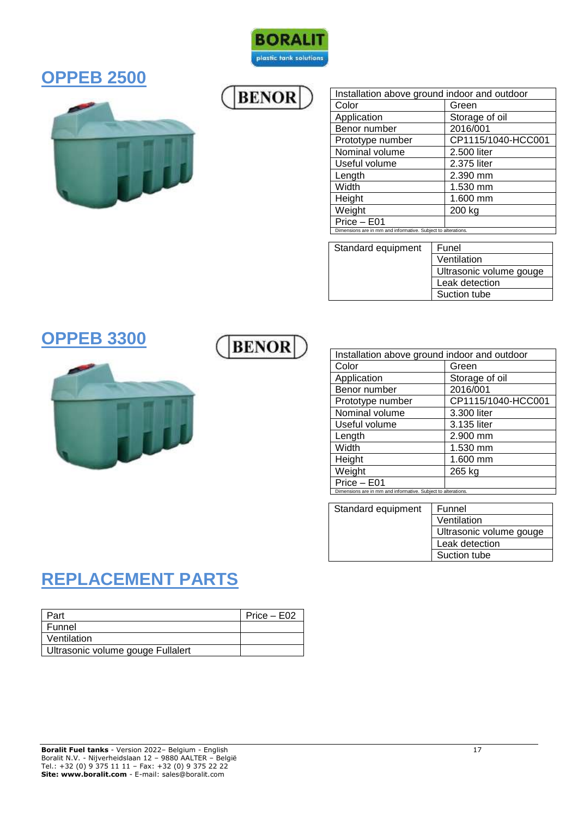

### **OPPEB 2500**



| L |  |
|---|--|
|   |  |

**BENOR** 

| Installation above ground indoor and outdoor                  |                    |
|---------------------------------------------------------------|--------------------|
| Color                                                         | Green              |
| Application                                                   | Storage of oil     |
| Benor number                                                  | 2016/001           |
| Prototype number                                              | CP1115/1040-HCC001 |
| Nominal volume                                                | 2.500 liter        |
| Useful volume                                                 | 2.375 liter        |
| Length                                                        | 2.390 mm           |
| Width                                                         | 1.530 mm           |
| Height                                                        | 1.600 mm           |
| Weight                                                        | 200 kg             |
| Price - E01                                                   |                    |
| Dimensions are in mm and informative. Subject to alterations. |                    |

| Standard equipment | Funel                   |
|--------------------|-------------------------|
|                    | Ventilation             |
|                    | Ultrasonic volume gouge |
|                    | Leak detection          |
|                    | Suction tube            |

# **OPPEB 3300**



| Installation above ground indoor and outdoor                  |                    |  |
|---------------------------------------------------------------|--------------------|--|
| Color                                                         | Green              |  |
| Application                                                   | Storage of oil     |  |
| Benor number                                                  | 2016/001           |  |
| Prototype number                                              | CP1115/1040-HCC001 |  |
| Nominal volume                                                | 3.300 liter        |  |
| Useful volume                                                 | 3.135 liter        |  |
| Length                                                        | 2.900 mm           |  |
| Width                                                         | 1.530 mm           |  |
| Height                                                        | 1.600 mm           |  |
| Weight                                                        | 265 kg             |  |
| Price - E01                                                   |                    |  |
| Dimensions are in mm and informative. Subject to alterations. |                    |  |

| Standard equipment | Funnel                  |
|--------------------|-------------------------|
|                    | Ventilation             |
|                    | Ultrasonic volume gouge |
|                    | Leak detection          |
|                    | Suction tube            |

# **REPLACEMENT PARTS**

| Part                              | Price – E02 |
|-----------------------------------|-------------|
| Funnel                            |             |
| Ventilation                       |             |
| Ultrasonic volume gouge Fullalert |             |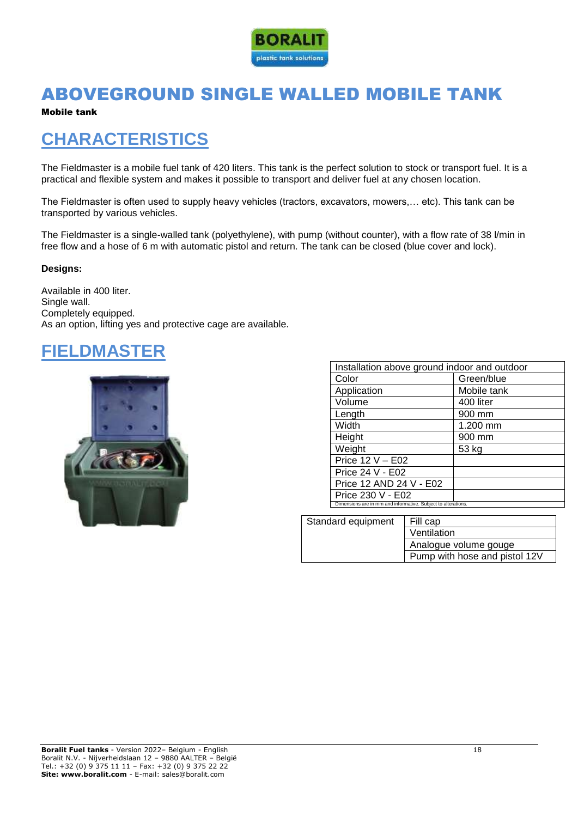

### ABOVEGROUND SINGLE WALLED MOBILE TANK

#### Mobile tank

### **CHARACTERISTICS**

The Fieldmaster is a mobile fuel tank of 420 liters. This tank is the perfect solution to stock or transport fuel. It is a practical and flexible system and makes it possible to transport and deliver fuel at any chosen location.

The Fieldmaster is often used to supply heavy vehicles (tractors, excavators, mowers,… etc). This tank can be transported by various vehicles.

The Fieldmaster is a single-walled tank (polyethylene), with pump (without counter), with a flow rate of 38 l/min in free flow and a hose of 6 m with automatic pistol and return. The tank can be closed (blue cover and lock).

#### **Designs:**

Available in 400 liter. Single wall. Completely equipped. As an option, lifting yes and protective cage are available.

### **FIELDMASTER**



| Installation above ground indoor and outdoor                  |             |
|---------------------------------------------------------------|-------------|
| Color                                                         | Green/blue  |
| Application                                                   | Mobile tank |
| Volume                                                        | 400 liter   |
| Length                                                        | 900 mm      |
| Width                                                         | 1.200 mm    |
| Height                                                        | 900 mm      |
| Weight                                                        | 53 kg       |
| Price $12 V - E02$                                            |             |
| Price 24 V - E02                                              |             |
| Price 12 AND 24 V - E02                                       |             |
| Price 230 V - E02                                             |             |
| Dimensions are in mm and informative. Subject to alterations. |             |

| Standard equipment | Fill cap                      |
|--------------------|-------------------------------|
|                    | Ventilation                   |
|                    | Analogue volume gouge         |
|                    | Pump with hose and pistol 12V |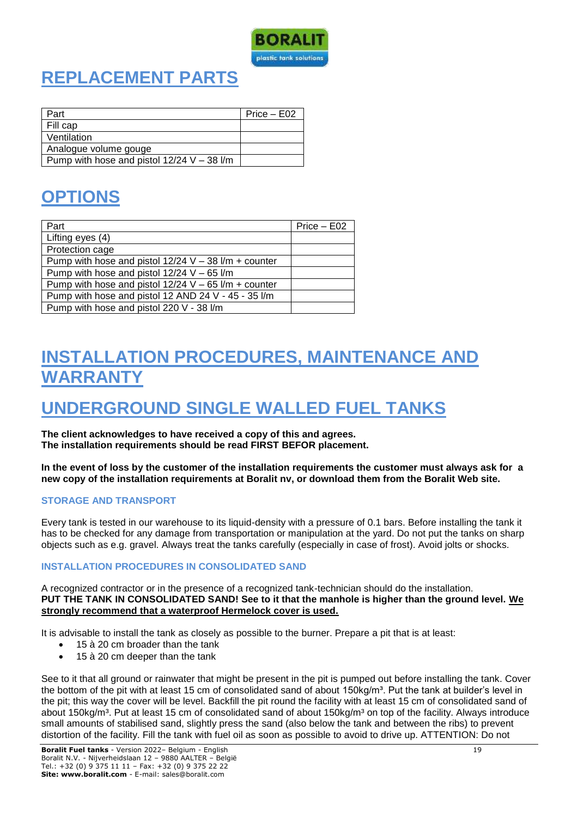

# **REPLACEMENT PARTS**

| Part                                         | Price – E02 |
|----------------------------------------------|-------------|
| Fill cap                                     |             |
| Ventilation                                  |             |
| Analogue volume gouge                        |             |
| Pump with hose and pistol $12/24$ V - 38 l/m |             |

# **OPTIONS**

| Part                                                        | Price - E02 |
|-------------------------------------------------------------|-------------|
| Lifting eyes (4)                                            |             |
| Protection cage                                             |             |
| Pump with hose and pistol $12/24$ V - 38 $/m +$ counter     |             |
| Pump with hose and pistol $12/24$ V – 65 l/m                |             |
| Pump with hose and pistol $12/24$ V – 65 $\ell$ m + counter |             |
| Pump with hose and pistol 12 AND 24 V - 45 - 35 l/m         |             |
| Pump with hose and pistol 220 V - 38 l/m                    |             |

### **INSTALLATION PROCEDURES, MAINTENANCE AND WARRANTY**

### **UNDERGROUND SINGLE WALLED FUEL TANKS**

**The client acknowledges to have received a copy of this and agrees. The installation requirements should be read FIRST BEFOR placement.**

**In the event of loss by the customer of the installation requirements the customer must always ask for a new copy of the installation requirements at Boralit nv, or download them from the Boralit Web site.**

#### **STORAGE AND TRANSPORT**

Every tank is tested in our warehouse to its liquid-density with a pressure of 0.1 bars. Before installing the tank it has to be checked for any damage from transportation or manipulation at the yard. Do not put the tanks on sharp objects such as e.g. gravel. Always treat the tanks carefully (especially in case of frost). Avoid jolts or shocks.

#### **INSTALLATION PROCEDURES IN CONSOLIDATED SAND**

A recognized contractor or in the presence of a recognized tank-technician should do the installation. **PUT THE TANK IN CONSOLIDATED SAND! See to it that the manhole is higher than the ground level. We strongly recommend that a waterproof Hermelock cover is used.**

It is advisable to install the tank as closely as possible to the burner. Prepare a pit that is at least:

- 15 à 20 cm broader than the tank
- 15 à 20 cm deeper than the tank

See to it that all ground or rainwater that might be present in the pit is pumped out before installing the tank. Cover the bottom of the pit with at least 15 cm of consolidated sand of about 150kg/m<sup>3</sup>. Put the tank at builder's level in the pit; this way the cover will be level. Backfill the pit round the facility with at least 15 cm of consolidated sand of about 150kg/m<sup>3</sup>. Put at least 15 cm of consolidated sand of about 150kg/m<sup>3</sup> on top of the facility. Always introduce small amounts of stabilised sand, slightly press the sand (also below the tank and between the ribs) to prevent distortion of the facility. Fill the tank with fuel oil as soon as possible to avoid to drive up. ATTENTION: Do not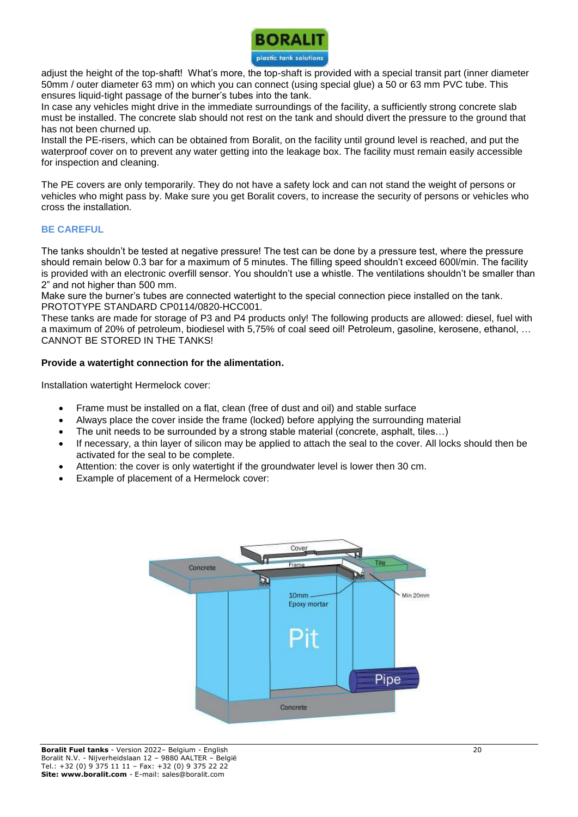

adjust the height of the top-shaft! What's more, the top-shaft is provided with a special transit part (inner diameter 50mm / outer diameter 63 mm) on which you can connect (using special glue) a 50 or 63 mm PVC tube. This ensures liquid-tight passage of the burner's tubes into the tank.

In case any vehicles might drive in the immediate surroundings of the facility, a sufficiently strong concrete slab must be installed. The concrete slab should not rest on the tank and should divert the pressure to the ground that has not been churned up.

Install the PE-risers, which can be obtained from Boralit, on the facility until ground level is reached, and put the waterproof cover on to prevent any water getting into the leakage box. The facility must remain easily accessible for inspection and cleaning.

The PE covers are only temporarily. They do not have a safety lock and can not stand the weight of persons or vehicles who might pass by. Make sure you get Boralit covers, to increase the security of persons or vehicles who cross the installation.

#### **BE CAREFUL**

The tanks shouldn't be tested at negative pressure! The test can be done by a pressure test, where the pressure should remain below 0.3 bar for a maximum of 5 minutes. The filling speed shouldn't exceed 600l/min. The facility is provided with an electronic overfill sensor. You shouldn't use a whistle. The ventilations shouldn't be smaller than 2" and not higher than 500 mm.

Make sure the burner's tubes are connected watertight to the special connection piece installed on the tank. PROTOTYPE STANDARD CP0114/0820-HCC001.

These tanks are made for storage of P3 and P4 products only! The following products are allowed: diesel, fuel with a maximum of 20% of petroleum, biodiesel with 5,75% of coal seed oil! Petroleum, gasoline, kerosene, ethanol, … CANNOT BE STORED IN THE TANKS!

#### **Provide a watertight connection for the alimentation.**

Installation watertight Hermelock cover:

- Frame must be installed on a flat, clean (free of dust and oil) and stable surface
- Always place the cover inside the frame (locked) before applying the surrounding material
- The unit needs to be surrounded by a strong stable material (concrete, asphalt, tiles…)
- If necessary, a thin layer of silicon may be applied to attach the seal to the cover. All locks should then be activated for the seal to be complete.
- Attention: the cover is only watertight if the groundwater level is lower then 30 cm.
- Example of placement of a Hermelock cover:

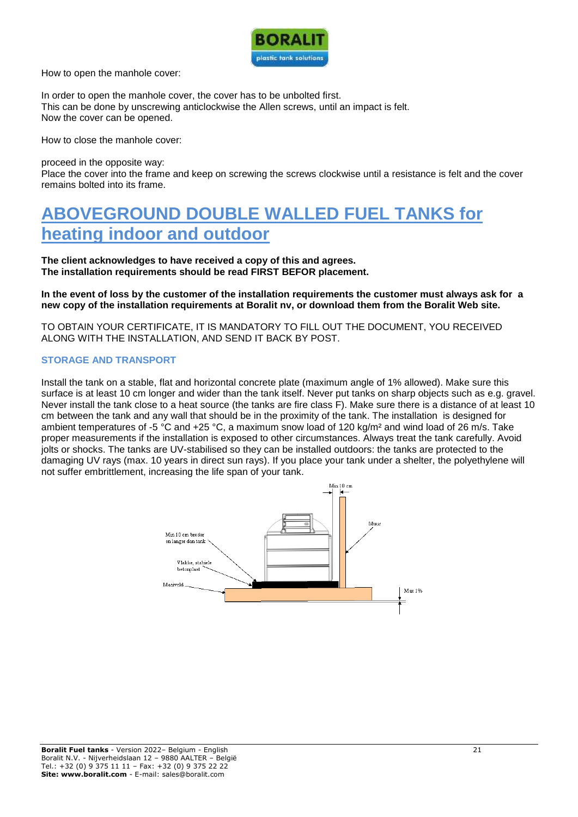

How to open the manhole cover:

In order to open the manhole cover, the cover has to be unbolted first. This can be done by unscrewing anticlockwise the Allen screws, until an impact is felt. Now the cover can be opened.

How to close the manhole cover:

proceed in the opposite way: Place the cover into the frame and keep on screwing the screws clockwise until a resistance is felt and the cover remains bolted into its frame.

### **ABOVEGROUND DOUBLE WALLED FUEL TANKS for heating indoor and outdoor**

**The client acknowledges to have received a copy of this and agrees. The installation requirements should be read FIRST BEFOR placement.**

**In the event of loss by the customer of the installation requirements the customer must always ask for a new copy of the installation requirements at Boralit nv, or download them from the Boralit Web site.**

TO OBTAIN YOUR CERTIFICATE, IT IS MANDATORY TO FILL OUT THE DOCUMENT, YOU RECEIVED ALONG WITH THE INSTALLATION, AND SEND IT BACK BY POST.

#### **STORAGE AND TRANSPORT**

Install the tank on a stable, flat and horizontal concrete plate (maximum angle of 1% allowed). Make sure this surface is at least 10 cm longer and wider than the tank itself. Never put tanks on sharp objects such as e.g. gravel. Never install the tank close to a heat source (the tanks are fire class F). Make sure there is a distance of at least 10 cm between the tank and any wall that should be in the proximity of the tank. The installation is designed for ambient temperatures of -5 °C and +25 °C, a maximum snow load of 120 kg/m² and wind load of 26 m/s. Take proper measurements if the installation is exposed to other circumstances. Always treat the tank carefully. Avoid jolts or shocks. The tanks are UV-stabilised so they can be installed outdoors: the tanks are protected to the damaging UV rays (max. 10 years in direct sun rays). If you place your tank under a shelter, the polyethylene will not suffer embrittlement, increasing the life span of your tank.

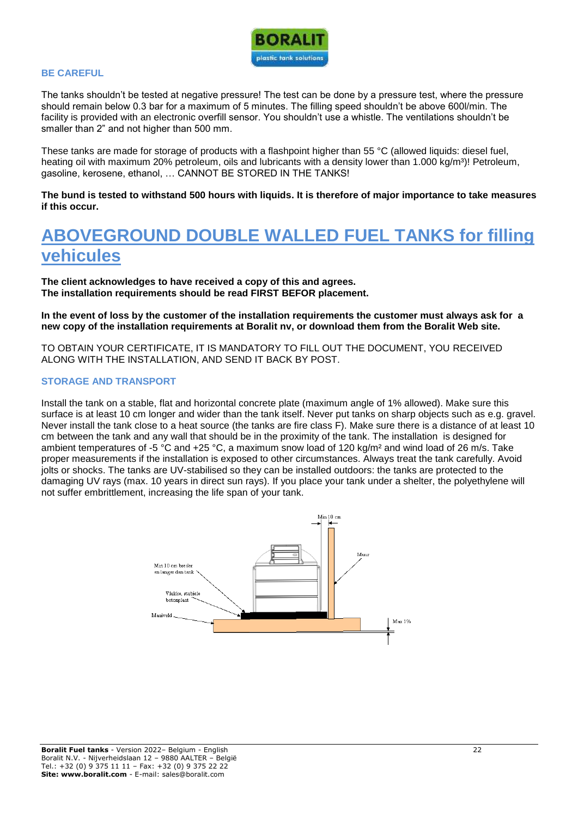

#### **BE CAREFUL**

The tanks shouldn't be tested at negative pressure! The test can be done by a pressure test, where the pressure should remain below 0.3 bar for a maximum of 5 minutes. The filling speed shouldn't be above 600l/min. The facility is provided with an electronic overfill sensor. You shouldn't use a whistle. The ventilations shouldn't be smaller than 2" and not higher than 500 mm.

These tanks are made for storage of products with a flashpoint higher than 55 °C (allowed liquids: diesel fuel, heating oil with maximum 20% petroleum, oils and lubricants with a density lower than 1.000 kg/m<sup>3</sup>! Petroleum, gasoline, kerosene, ethanol, … CANNOT BE STORED IN THE TANKS!

**The bund is tested to withstand 500 hours with liquids. It is therefore of major importance to take measures if this occur.**

### **ABOVEGROUND DOUBLE WALLED FUEL TANKS for filling vehicules**

**The client acknowledges to have received a copy of this and agrees. The installation requirements should be read FIRST BEFOR placement.**

**In the event of loss by the customer of the installation requirements the customer must always ask for a new copy of the installation requirements at Boralit nv, or download them from the Boralit Web site.**

TO OBTAIN YOUR CERTIFICATE, IT IS MANDATORY TO FILL OUT THE DOCUMENT, YOU RECEIVED ALONG WITH THE INSTALLATION, AND SEND IT BACK BY POST.

#### **STORAGE AND TRANSPORT**

Install the tank on a stable, flat and horizontal concrete plate (maximum angle of 1% allowed). Make sure this surface is at least 10 cm longer and wider than the tank itself. Never put tanks on sharp objects such as e.g. gravel. Never install the tank close to a heat source (the tanks are fire class F). Make sure there is a distance of at least 10 cm between the tank and any wall that should be in the proximity of the tank. The installation is designed for ambient temperatures of -5 °C and +25 °C, a maximum snow load of 120 kg/m² and wind load of 26 m/s. Take proper measurements if the installation is exposed to other circumstances. Always treat the tank carefully. Avoid jolts or shocks. The tanks are UV-stabilised so they can be installed outdoors: the tanks are protected to the damaging UV rays (max. 10 years in direct sun rays). If you place your tank under a shelter, the polyethylene will not suffer embrittlement, increasing the life span of your tank.

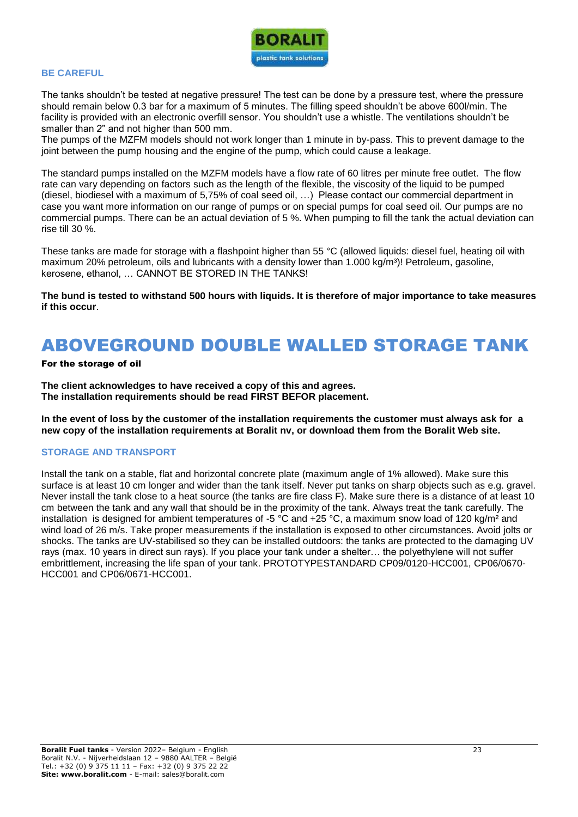

#### **BE CAREFUL**

The tanks shouldn't be tested at negative pressure! The test can be done by a pressure test, where the pressure should remain below 0.3 bar for a maximum of 5 minutes. The filling speed shouldn't be above 600l/min. The facility is provided with an electronic overfill sensor. You shouldn't use a whistle. The ventilations shouldn't be smaller than 2" and not higher than 500 mm.

The pumps of the MZFM models should not work longer than 1 minute in by-pass. This to prevent damage to the joint between the pump housing and the engine of the pump, which could cause a leakage.

The standard pumps installed on the MZFM models have a flow rate of 60 litres per minute free outlet. The flow rate can vary depending on factors such as the length of the flexible, the viscosity of the liquid to be pumped (diesel, biodiesel with a maximum of 5,75% of coal seed oil, …) Please contact our commercial department in case you want more information on our range of pumps or on special pumps for coal seed oil. Our pumps are no commercial pumps. There can be an actual deviation of 5 %. When pumping to fill the tank the actual deviation can rise till 30 %.

These tanks are made for storage with a flashpoint higher than 55 °C (allowed liquids: diesel fuel, heating oil with maximum 20% petroleum, oils and lubricants with a density lower than 1.000 kg/m<sup>3</sup>! Petroleum, gasoline, kerosene, ethanol, … CANNOT BE STORED IN THE TANKS!

**The bund is tested to withstand 500 hours with liquids. It is therefore of major importance to take measures if this occur**.

### ABOVEGROUND DOUBLE WALLED STORAGE TANK

#### For the storage of oil

**The client acknowledges to have received a copy of this and agrees. The installation requirements should be read FIRST BEFOR placement.**

**In the event of loss by the customer of the installation requirements the customer must always ask for a new copy of the installation requirements at Boralit nv, or download them from the Boralit Web site.**

#### **STORAGE AND TRANSPORT**

Install the tank on a stable, flat and horizontal concrete plate (maximum angle of 1% allowed). Make sure this surface is at least 10 cm longer and wider than the tank itself. Never put tanks on sharp objects such as e.g. gravel. Never install the tank close to a heat source (the tanks are fire class F). Make sure there is a distance of at least 10 cm between the tank and any wall that should be in the proximity of the tank. Always treat the tank carefully. The installation is designed for ambient temperatures of -5 °C and +25 °C, a maximum snow load of 120 kg/m² and wind load of 26 m/s. Take proper measurements if the installation is exposed to other circumstances. Avoid jolts or shocks. The tanks are UV-stabilised so they can be installed outdoors: the tanks are protected to the damaging UV rays (max. 10 years in direct sun rays). If you place your tank under a shelter… the polyethylene will not suffer embrittlement, increasing the life span of your tank. PROTOTYPESTANDARD CP09/0120-HCC001, CP06/0670- HCC001 and CP06/0671-HCC001.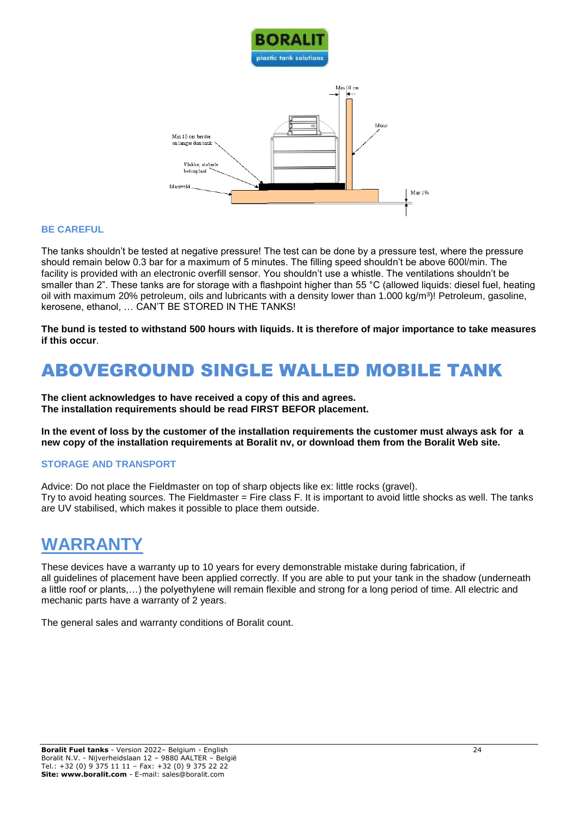



#### **BE CAREFUL**

The tanks shouldn't be tested at negative pressure! The test can be done by a pressure test, where the pressure should remain below 0.3 bar for a maximum of 5 minutes. The filling speed shouldn't be above 600l/min. The facility is provided with an electronic overfill sensor. You shouldn't use a whistle. The ventilations shouldn't be smaller than 2". These tanks are for storage with a flashpoint higher than 55 °C (allowed liguids: diesel fuel, heating oil with maximum 20% petroleum, oils and lubricants with a density lower than 1.000 kg/m<sup>3</sup>)! Petroleum, gasoline, kerosene, ethanol, … CAN'T BE STORED IN THE TANKS!

**The bund is tested to withstand 500 hours with liquids. It is therefore of major importance to take measures if this occur**.

### ABOVEGROUND SINGLE WALLED MOBILE TANK

**The client acknowledges to have received a copy of this and agrees. The installation requirements should be read FIRST BEFOR placement.**

**In the event of loss by the customer of the installation requirements the customer must always ask for a new copy of the installation requirements at Boralit nv, or download them from the Boralit Web site.**

#### **STORAGE AND TRANSPORT**

Advice: Do not place the Fieldmaster on top of sharp objects like ex: little rocks (gravel). Try to avoid heating sources. The Fieldmaster = Fire class F. It is important to avoid little shocks as well. The tanks are UV stabilised, which makes it possible to place them outside.

### **WARRANTY**

These devices have a warranty up to 10 years for every demonstrable mistake during fabrication, if all guidelines of placement have been applied correctly. If you are able to put your tank in the shadow (underneath a little roof or plants,…) the polyethylene will remain flexible and strong for a long period of time. All electric and mechanic parts have a warranty of 2 years.

The general sales and warranty conditions of Boralit count.